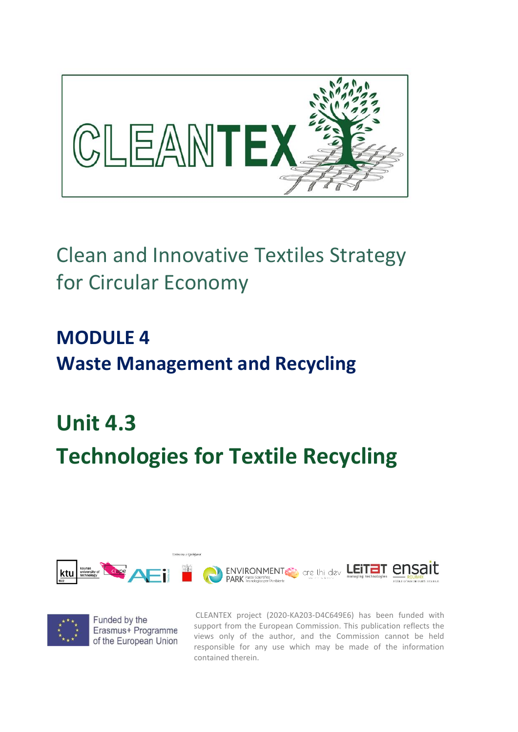

# Clean and Innovative Textiles Strategy for Circular Economy

**MODULE 4 Waste Management and Recycling**

# **Unit 4.3 Technologies for Textile Recycling**





CLEANTEX project (2020-KA203-D4C649E6) has been funded with support from the European Commission. This publication reflects the views only of the author, and the Commission cannot be held responsible for any use which may be made of the information contained therein.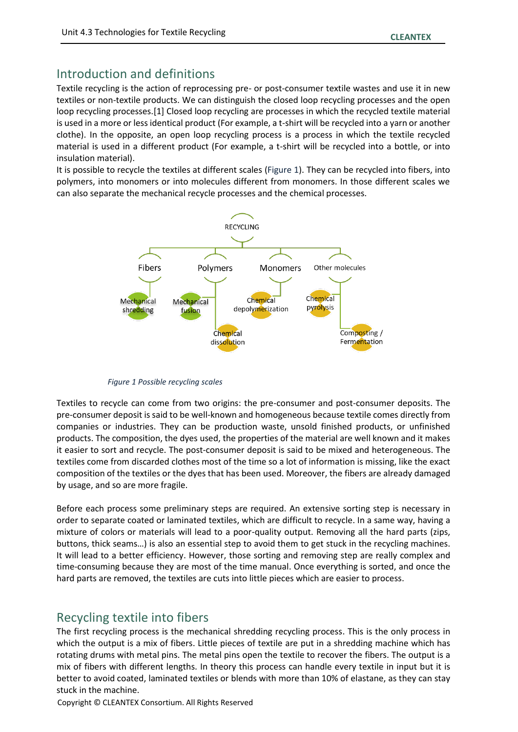### Introduction and definitions

Textile recycling is the action of reprocessing pre- or post-consumer textile wastes and use it in new textiles or non-textile products. We can distinguish the closed loop recycling processes and the open loop recycling processes.[1] Closed loop recycling are processes in which the recycled textile material is used in a more or less identical product (For example, a t-shirt will be recycled into a yarn or another clothe). In the opposite, an open loop recycling process is a process in which the textile recycled material is used in a different product (For example, a t-shirt will be recycled into a bottle, or into insulation material).

It is possible to recycle the textiles at different scales [\(Figure 1\)](#page-1-0). They can be recycled into fibers, into polymers, into monomers or into molecules different from monomers. In those different scales we can also separate the mechanical recycle processes and the chemical processes.



<span id="page-1-0"></span>*Figure 1 Possible recycling scales*

Textiles to recycle can come from two origins: the pre-consumer and post-consumer deposits. The pre-consumer deposit is said to be well-known and homogeneous because textile comes directly from companies or industries. They can be production waste, unsold finished products, or unfinished products. The composition, the dyes used, the properties of the material are well known and it makes it easier to sort and recycle. The post-consumer deposit is said to be mixed and heterogeneous. The textiles come from discarded clothes most of the time so a lot of information is missing, like the exact composition of the textiles or the dyes that has been used. Moreover, the fibers are already damaged by usage, and so are more fragile.

Before each process some preliminary steps are required. An extensive sorting step is necessary in order to separate coated or laminated textiles, which are difficult to recycle. In a same way, having a mixture of colors or materials will lead to a poor-quality output. Removing all the hard parts (zips, buttons, thick seams…) is also an essential step to avoid them to get stuck in the recycling machines. It will lead to a better efficiency. However, those sorting and removing step are really complex and time-consuming because they are most of the time manual. Once everything is sorted, and once the hard parts are removed, the textiles are cuts into little pieces which are easier to process.

# Recycling textile into fibers

The first recycling process is the mechanical shredding recycling process. This is the only process in which the output is a mix of fibers. Little pieces of textile are put in a shredding machine which has rotating drums with metal pins. The metal pins open the textile to recover the fibers. The output is a mix of fibers with different lengths. In theory this process can handle every textile in input but it is better to avoid coated, laminated textiles or blends with more than 10% of elastane, as they can stay stuck in the machine.

Copyright © CLEANTEX Consortium. All Rights Reserved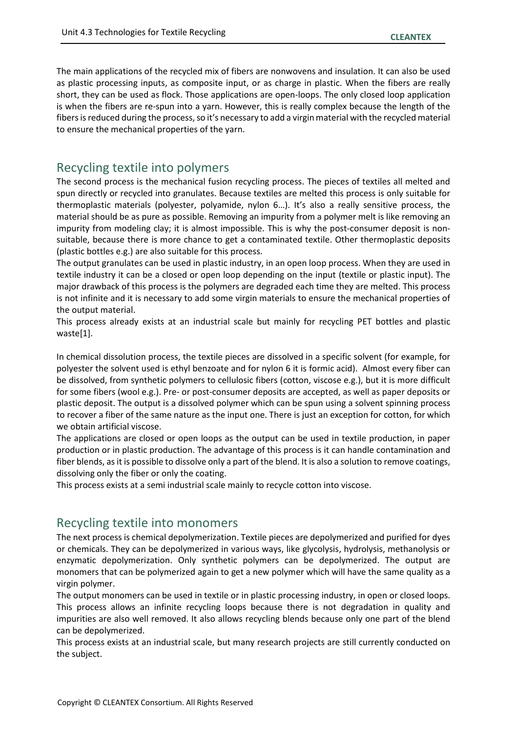The main applications of the recycled mix of fibers are nonwovens and insulation. It can also be used as plastic processing inputs, as composite input, or as charge in plastic. When the fibers are really short, they can be used as flock. Those applications are open-loops. The only closed loop application is when the fibers are re-spun into a yarn. However, this is really complex because the length of the fibers is reduced during the process, so it's necessary to add a virgin material with the recycled material to ensure the mechanical properties of the yarn.

#### Recycling textile into polymers

The second process is the mechanical fusion recycling process. The pieces of textiles all melted and spun directly or recycled into granulates. Because textiles are melted this process is only suitable for thermoplastic materials (polyester, polyamide, nylon 6…). It's also a really sensitive process, the material should be as pure as possible. Removing an impurity from a polymer melt is like removing an impurity from modeling clay; it is almost impossible. This is why the post-consumer deposit is nonsuitable, because there is more chance to get a contaminated textile. Other thermoplastic deposits (plastic bottles e.g.) are also suitable for this process.

The output granulates can be used in plastic industry, in an open loop process. When they are used in textile industry it can be a closed or open loop depending on the input (textile or plastic input). The major drawback of this process is the polymers are degraded each time they are melted. This process is not infinite and it is necessary to add some virgin materials to ensure the mechanical properties of the output material.

This process already exists at an industrial scale but mainly for recycling PET bottles and plastic waste[1].

In chemical dissolution process, the textile pieces are dissolved in a specific solvent (for example, for polyester the solvent used is ethyl benzoate and for nylon 6 it is formic acid). Almost every fiber can be dissolved, from synthetic polymers to cellulosic fibers (cotton, viscose e.g.), but it is more difficult for some fibers (wool e.g.). Pre- or post-consumer deposits are accepted, as well as paper deposits or plastic deposit. The output is a dissolved polymer which can be spun using a solvent spinning process to recover a fiber of the same nature as the input one. There is just an exception for cotton, for which we obtain artificial viscose.

The applications are closed or open loops as the output can be used in textile production, in paper production or in plastic production. The advantage of this process is it can handle contamination and fiber blends, as it is possible to dissolve only a part of the blend. It is also a solution to remove coatings, dissolving only the fiber or only the coating.

This process exists at a semi industrial scale mainly to recycle cotton into viscose.

#### Recycling textile into monomers

The next process is chemical depolymerization. Textile pieces are depolymerized and purified for dyes or chemicals. They can be depolymerized in various ways, like glycolysis, hydrolysis, methanolysis or enzymatic depolymerization. Only synthetic polymers can be depolymerized. The output are monomers that can be polymerized again to get a new polymer which will have the same quality as a virgin polymer.

The output monomers can be used in textile or in plastic processing industry, in open or closed loops. This process allows an infinite recycling loops because there is not degradation in quality and impurities are also well removed. It also allows recycling blends because only one part of the blend can be depolymerized.

This process exists at an industrial scale, but many research projects are still currently conducted on the subject.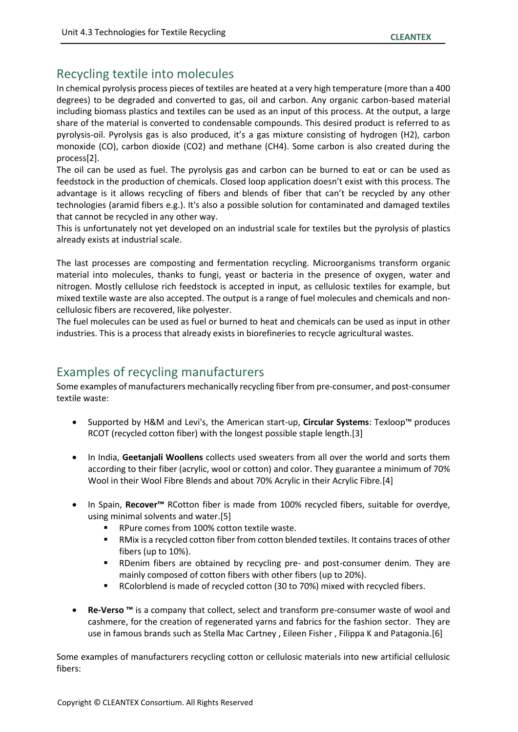# Recycling textile into molecules

In chemical pyrolysis process pieces of textiles are heated at a very high temperature (more than a 400 degrees) to be degraded and converted to gas, oil and carbon. Any organic carbon-based material including biomass plastics and textiles can be used as an input of this process. At the output, a large share of the material is converted to condensable compounds. This desired product is referred to as pyrolysis-oil. Pyrolysis gas is also produced, it's a gas mixture consisting of hydrogen (H2), carbon monoxide (CO), carbon dioxide (CO2) and methane (CH4). Some carbon is also created during the process[2].

The oil can be used as fuel. The pyrolysis gas and carbon can be burned to eat or can be used as feedstock in the production of chemicals. Closed loop application doesn't exist with this process. The advantage is it allows recycling of fibers and blends of fiber that can't be recycled by any other technologies (aramid fibers e.g.). It's also a possible solution for contaminated and damaged textiles that cannot be recycled in any other way.

This is unfortunately not yet developed on an industrial scale for textiles but the pyrolysis of plastics already exists at industrial scale.

The last processes are composting and fermentation recycling. Microorganisms transform organic material into molecules, thanks to fungi, yeast or bacteria in the presence of oxygen, water and nitrogen. Mostly cellulose rich feedstock is accepted in input, as cellulosic textiles for example, but mixed textile waste are also accepted. The output is a range of fuel molecules and chemicals and noncellulosic fibers are recovered, like polyester.

The fuel molecules can be used as fuel or burned to heat and chemicals can be used as input in other industries. This is a process that already exists in biorefineries to recycle agricultural wastes.

# Examples of recycling manufacturers

Some examples of manufacturers mechanically recycling fiber from pre-consumer, and post-consumer textile waste:

- Supported by H&M and Levi's, the American start-up, **Circular Systems**: Texloop™ produces RCOT (recycled cotton fiber) with the longest possible staple length.[3]
- In India, **Geetanjali Woollens** collects used sweaters from all over the world and sorts them according to their fiber (acrylic, wool or cotton) and color. They guarantee a minimum of 70% Wool in their Wool Fibre Blends and about 70% Acrylic in their Acrylic Fibre.[4]
- In Spain, **Recover™** RCotton fiber is made from 100% recycled fibers, suitable for overdye, using minimal solvents and water.[5]
	- RPure comes from 100% cotton textile waste.
	- RMix is a recycled cotton fiber from cotton blended textiles. It contains traces of other fibers (up to 10%).
	- RDenim fibers are obtained by recycling pre- and post-consumer denim. They are mainly composed of cotton fibers with other fibers (up to 20%).
	- RColorblend is made of recycled cotton (30 to 70%) mixed with recycled fibers.
- **Re-Verso ™** is a company that collect, select and transform pre-consumer waste of wool and cashmere, for the creation of regenerated yarns and fabrics for the fashion sector. They are use in famous brands such as Stella Mac Cartney , Eileen Fisher , Filippa K and Patagonia.[6]

Some examples of manufacturers recycling cotton or cellulosic materials into new artificial cellulosic fibers: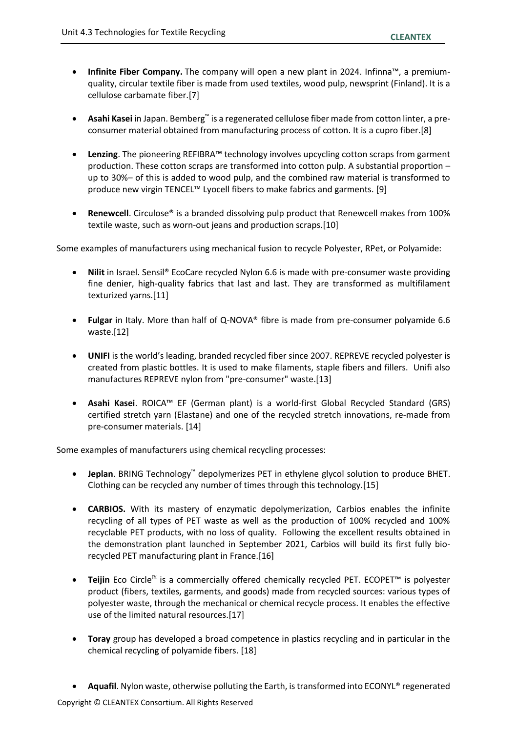- **Infinite Fiber Company.** The company will open a new plant in 2024. Infinna™, a premiumquality, circular textile fiber is made from used textiles, wood pulp, newsprint (Finland). It is a cellulose carbamate fiber.[7]
- **Asahi Kasei** in Japan. Bemberg™ is a regenerated cellulose fiber made from cotton linter, a preconsumer material obtained from manufacturing process of cotton. It is a cupro fiber.[8]
- **Lenzing**. The pioneering REFIBRA™ technology involves upcycling cotton scraps from garment production. These cotton scraps are transformed into cotton pulp. A substantial proportion – up to 30%– of this is added to wood pulp, and the combined raw material is transformed to produce new virgin TENCEL™ Lyocell fibers to make fabrics and garments. [9]
- **Renewcell**. Circulose® is a branded dissolving pulp product that Renewcell makes from 100% textile waste, such as worn-out jeans and production scraps.[10]

Some examples of manufacturers using mechanical fusion to recycle Polyester, RPet, or Polyamide:

- **Nilit** in Israel. Sensil® EcoCare recycled Nylon 6.6 is made with pre-consumer waste providing fine denier, high-quality fabrics that last and last. They are transformed as multifilament texturized yarns.[11]
- **Fulgar** in Italy. More than half of Q-NOVA® fibre is made from pre-consumer polyamide 6.6 waste.[12]
- **UNIFI** is the world's leading, branded recycled fiber since 2007. REPREVE recycled polyester is created from plastic bottles. It is used to make filaments, staple fibers and fillers. Unifi also manufactures REPREVE nylon from "pre-consumer" waste.[13]
- **Asahi Kasei**. ROICA™ EF (German plant) is a world-first Global Recycled Standard (GRS) certified stretch yarn (Elastane) and one of the recycled stretch innovations, re-made from pre-consumer materials. [14]

Some examples of manufacturers using chemical recycling processes:

- **Jeplan**. BRING Technology™ depolymerizes PET in ethylene glycol solution to produce BHET. Clothing can be recycled any number of times through this technology.[15]
- **CARBIOS.** With its mastery of enzymatic depolymerization, Carbios enables the infinite recycling of all types of PET waste as well as the production of 100% recycled and 100% recyclable PET products, with no loss of quality. Following the excellent results obtained in the demonstration plant launched in September 2021, Carbios will build its first fully biorecycled PET manufacturing plant in France.[16]
- **Teijin** Eco Circle™ is a commercially offered chemically recycled PET. ECOPET™ is polyester product (fibers, textiles, garments, and goods) made from recycled sources: various types of polyester waste, through the mechanical or chemical recycle process. It enables the effective use of the limited natural resources.[17]
- **Toray** group has developed a broad competence in plastics recycling and in particular in the chemical recycling of polyamide fibers. [18]
- **Aquafil**. Nylon waste, otherwise polluting the Earth, is transformed into ECONYL® regenerated